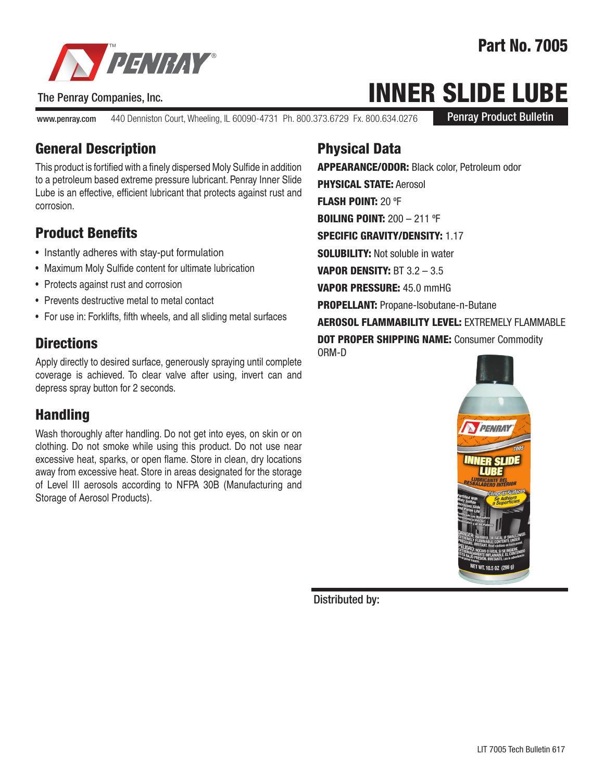

#### The Penray Companies, Inc.

www.penray.com 440 Denniston Court, Wheeling, IL 60090-4731 Ph. 800.373.6729 Fx. 800.634.0276

Part No. 7005

Penray Product Bulletin

# INNER SLIDE LUBE

General Description

This product is fortified with a finely dispersed Moly Sulfide in addition to a petroleum based extreme pressure lubricant. Penray Inner Slide Lube is an effective, efficient lubricant that protects against rust and corrosion.

### Product Benefits

- Instantly adheres with stay-put formulation
- Maximum Moly Sulfide content for ultimate lubrication
- Protects against rust and corrosion
- Prevents destructive metal to metal contact
- For use in: Forklifts, fifth wheels, and all sliding metal surfaces

#### **Directions**

Apply directly to desired surface, generously spraying until complete coverage is achieved. To clear valve after using, invert can and depress spray button for 2 seconds.

### Handling

Wash thoroughly after handling. Do not get into eyes, on skin or on clothing. Do not smoke while using this product. Do not use near excessive heat, sparks, or open flame. Store in clean, dry locations away from excessive heat. Store in areas designated for the storage of Level III aerosols according to NFPA 30B (Manufacturing and Storage of Aerosol Products).

## Physical Data

APPEARANCE/ODOR: Black color, Petroleum odor PHYSICAL STATE: Aerosol FLASH POINT: 20 ºF BOILING POINT: 200 – 211 ºF SPECIFIC GRAVITY/DENSITY: 1.17 SOLUBILITY: Not soluble in water VAPOR DENSITY: BT 3.2 – 3.5 VAPOR PRESSURE: 45.0 mmHG **PROPELLANT: Propane-Isobutane-n-Butane** AEROSOL FLAMMABILITY LEVEL: EXTREMELY FLAMMABLE **DOT PROPER SHIPPING NAME: Consumer Commodity** ORM-D



Distributed by: